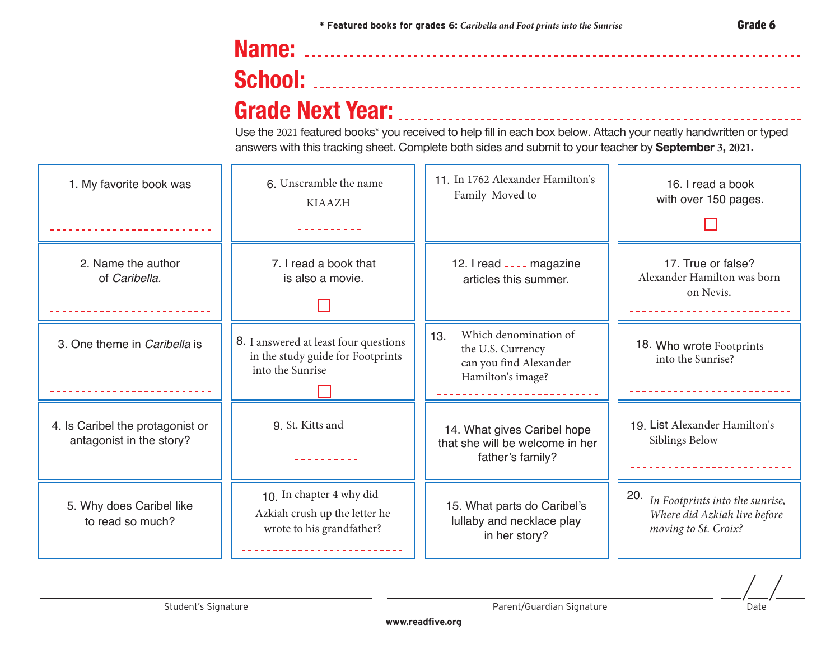## **Name: School: Grade Next Year:**

Use the 2021 featured books\* you received to help fill in each box below. Attach your neatly handwritten or typed answers with this tracking sheet. Complete both sides and submit to your teacher by **September 3, 2021.**

| 1. My favorite book was                                      | 6. Unscramble the name<br><b>KIAAZH</b>                                                        | 11. In 1762 Alexander Hamilton's<br>Family Moved to                                              | 16. I read a book<br>with over 150 pages.                                                      |
|--------------------------------------------------------------|------------------------------------------------------------------------------------------------|--------------------------------------------------------------------------------------------------|------------------------------------------------------------------------------------------------|
| 2. Name the author<br>of Caribella.                          | 7. I read a book that<br>is also a movie.                                                      | 12. I read ____ magazine<br>articles this summer.                                                | 17. True or false?<br>Alexander Hamilton was born<br>on Nevis.                                 |
| 3. One theme in Caribella is                                 | 8. I answered at least four questions<br>in the study guide for Footprints<br>into the Sunrise | Which denomination of<br>13.<br>the U.S. Currency<br>can you find Alexander<br>Hamilton's image? | 18. Who wrote Footprints<br>into the Sunrise?                                                  |
| 4. Is Caribel the protagonist or<br>antagonist in the story? | 9. St. Kitts and                                                                               | 14. What gives Caribel hope<br>that she will be welcome in her<br>father's family?               | 19. List Alexander Hamilton's<br>Siblings Below                                                |
| 5. Why does Caribel like<br>to read so much?                 | 10. In chapter 4 why did<br>Azkiah crush up the letter he<br>wrote to his grandfather?         | 15. What parts do Caribel's<br>lullaby and necklace play<br>in her story?                        | 20.<br>In Footprints into the sunrise,<br>Where did Azkiah live before<br>moving to St. Croix? |